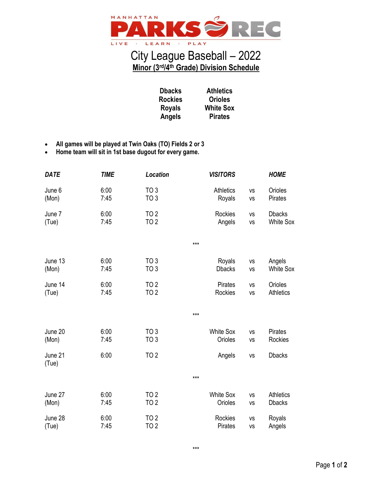

## City League Baseball – 2022 **Minor (3rd/4th Grade) Division Schedule**

**Orioles**

**Pirates**

**Dbacks Rockies Royals Angels Athletics White Sox**

- **All games will be played at Twin Oaks (TO) Fields 2 or 3**
- **Home team will sit in 1st base dugout for every game.**

| <b>DATE</b>      | <b>TIME</b>  | Location                           | <b>VISITORS</b>           |                 | <b>HOME</b>                 |
|------------------|--------------|------------------------------------|---------------------------|-----------------|-----------------------------|
| June 6           | 6:00         | TO <sub>3</sub>                    | <b>Athletics</b>          | VS              | Orioles                     |
| (Mon)            | 7:45         | TO <sub>3</sub>                    | Royals                    | VS              | Pirates                     |
| June 7           | 6:00         | TO <sub>2</sub>                    | Rockies                   | <b>VS</b>       | <b>Dbacks</b>               |
| (Tue)            | 7:45         | <b>TO 2</b>                        | Angels                    | VS              | <b>White Sox</b>            |
|                  |              |                                    | $***$                     |                 |                             |
| June 13          | 6:00         | TO <sub>3</sub>                    | Royals                    | VS              | Angels                      |
| (Mon)            | 7:45         | TO <sub>3</sub>                    | <b>Dbacks</b>             | <b>VS</b>       | <b>White Sox</b>            |
| June 14<br>(Tue) | 6:00<br>7:45 | TO <sub>2</sub><br>TO <sub>2</sub> | <b>Pirates</b><br>Rockies | <b>VS</b><br>VS | Orioles<br><b>Athletics</b> |
|                  |              |                                    | $***$                     |                 |                             |
| June 20          | 6:00         | TO <sub>3</sub>                    | <b>White Sox</b>          | VS              | Pirates                     |
| (Mon)            | 7:45         | TO <sub>3</sub>                    | Orioles                   | VS              | Rockies                     |
| June 21<br>(Tue) | 6:00         | TO <sub>2</sub>                    | Angels                    | VS              | <b>Dbacks</b>               |
|                  |              |                                    | $***$                     |                 |                             |
| June 27          | 6:00         | TO <sub>2</sub>                    | <b>White Sox</b>          | <b>VS</b>       | <b>Athletics</b>            |
| (Mon)            | 7:45         | <b>TO 2</b>                        | Orioles                   | VS              | <b>Dbacks</b>               |
| June 28          | 6:00         | TO <sub>2</sub>                    | <b>Rockies</b>            | <b>VS</b>       | Royals                      |
| (Tue)            | 7:45         | <b>TO 2</b>                        | <b>Pirates</b>            | VS              | Angels                      |